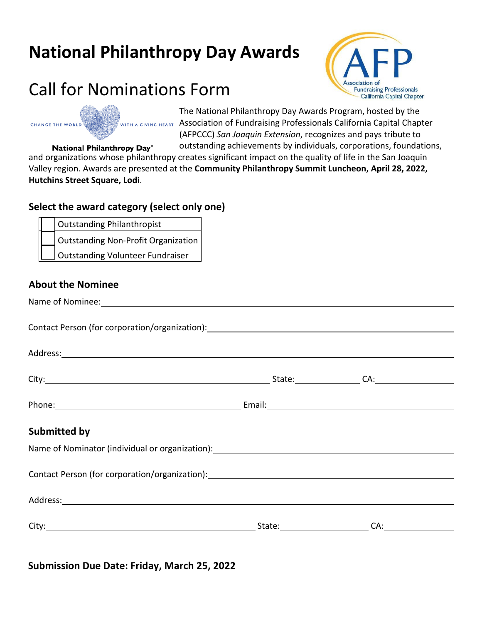## **National Philanthropy Day Awards**

### Call for Nominations Form



The National Philanthropy Day Awards Program, hosted by the WITH A GIVING HEART ASSOCIATION Of Fundraising Professionals California Capital Chapter (AFPCCC) *San Joaquin Extension*, recognizes and pays tribute to

outstanding achievements by individuals, corporations, foundations, **National Philanthropy Day®** and organizations whose philanthropy creates significant impact on the quality of life in the San Joaquin Valley region. Awards are presented at the **Community Philanthropy Summit Luncheon, April 28, 2022, Hutchins Street Square, Lodi**.

### **Select the award category (select only one)**

Outstanding Philanthropist

**Outstanding Non-Profit Organization** 

Outstanding Volunteer Fundraiser

#### **About the Nominee**

Name of Nominee:

CHANGE THE WORLD

Contact Person (for corporation/organization):

| Address: <u>with a series of the series of the series of the series of the series of the series of the series of the series of the series of the series of the series of the series of the series of the series of the series of</u> |                                                                                                                                                                                                                                |                |
|--------------------------------------------------------------------------------------------------------------------------------------------------------------------------------------------------------------------------------------|--------------------------------------------------------------------------------------------------------------------------------------------------------------------------------------------------------------------------------|----------------|
|                                                                                                                                                                                                                                      |                                                                                                                                                                                                                                | State: CA: CA: |
|                                                                                                                                                                                                                                      |                                                                                                                                                                                                                                |                |
| <b>Submitted by</b>                                                                                                                                                                                                                  |                                                                                                                                                                                                                                |                |
| Name of Nominator (individual or organization): [14] Name of Nominator (individual or organization):                                                                                                                                 |                                                                                                                                                                                                                                |                |
| Contact Person (for corporation/organization): Manual According to the Contact Person (for corporation/organization):                                                                                                                |                                                                                                                                                                                                                                |                |
|                                                                                                                                                                                                                                      |                                                                                                                                                                                                                                |                |
|                                                                                                                                                                                                                                      | State: The Management of the State of the State of the State of the State of the State of the State of the State of the State of the State of the State of the State of the State of the State of the State of the State of th | CA:            |

### **Submission Due Date: Friday, March 25, 2022**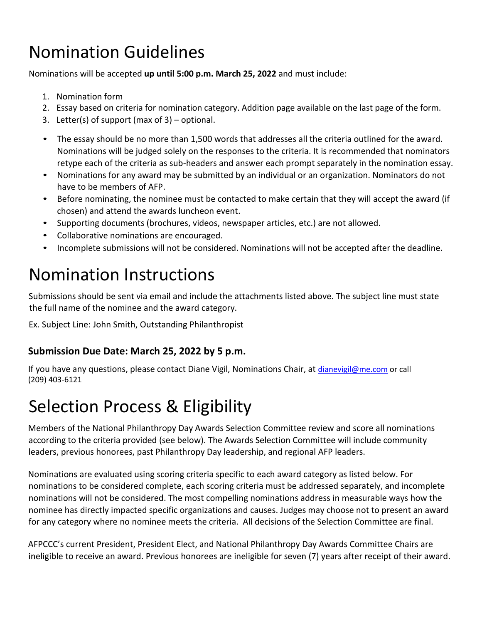# Nomination Guidelines

Nominations will be accepted **up until 5:00 p.m. March 25, 2022** and must include:

- 1. Nomination form
- 2. Essay based on criteria for nomination category. Addition page available on the last page of the form.
- 3. Letter(s) of support (max of 3) optional.
- The essay should be no more than 1,500 words that addresses all the criteria outlined for the award. Nominations will be judged solely on the responses to the criteria. It is recommended that nominators retype each of the criteria as sub-headers and answer each prompt separately in the nomination essay.
- Nominations for any award may be submitted by an individual or an organization. Nominators do not have to be members of AFP.
- Before nominating, the nominee must be contacted to make certain that they will accept the award (if chosen) and attend the awards luncheon event.
- Supporting documents (brochures, videos, newspaper articles, etc.) are not allowed.
- Collaborative nominations are encouraged.
- Incomplete submissions will not be considered. Nominations will not be accepted after the deadline.

# Nomination Instructions

Submissions should be sent via email and include the attachments listed above. The subject line must state the full name of the nominee and the award category.

Ex. Subject Line: John Smith, Outstanding Philanthropist

### **Submission Due Date: March 25, 2022 by 5 p.m.**

If you have any questions, please contact Diane Vigil, Nominations Chair, at dianevigil@me.com or call (209) 403-6121

## Selection Process & Eligibility

Members of the National Philanthropy Day Awards Selection Committee review and score all nominations according to the criteria provided (see below). The Awards Selection Committee will include community leaders, previous honorees, past Philanthropy Day leadership, and regional AFP leaders.

Nominations are evaluated using scoring criteria specific to each award category as listed below. For nominations to be considered complete, each scoring criteria must be addressed separately, and incomplete nominations will not be considered. The most compelling nominations address in measurable ways how the nominee has directly impacted specific organizations and causes. Judges may choose not to present an award for any category where no nominee meets the criteria. All decisions of the Selection Committee are final.

AFPCCC's current President, President Elect, and National Philanthropy Day Awards Committee Chairs are ineligible to receive an award. Previous honorees are ineligible for seven (7) years after receipt of their award.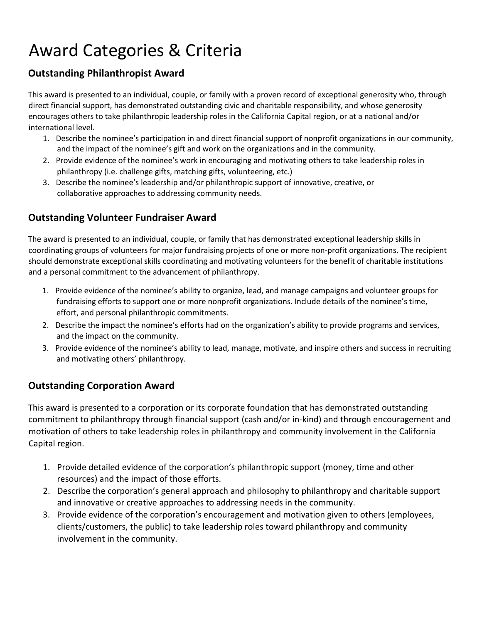# Award Categories & Criteria

### **Outstanding Philanthropist Award**

This award is presented to an individual, couple, or family with a proven record of exceptional generosity who, through direct financial support, has demonstrated outstanding civic and charitable responsibility, and whose generosity encourages others to take philanthropic leadership roles in the California Capital region, or at a national and/or international level.

- 1. Describe the nominee's participation in and direct financial support of nonprofit organizations in our community, and the impact of the nominee's gift and work on the organizations and in the community.
- 2. Provide evidence of the nominee's work in encouraging and motivating others to take leadership roles in philanthropy (i.e. challenge gifts, matching gifts, volunteering, etc.)
- 3. Describe the nominee's leadership and/or philanthropic support of innovative, creative, or collaborative approaches to addressing community needs.

### **Outstanding Volunteer Fundraiser Award**

The award is presented to an individual, couple, or family that has demonstrated exceptional leadership skills in coordinating groups of volunteers for major fundraising projects of one or more non-profit organizations. The recipient should demonstrate exceptional skills coordinating and motivating volunteers for the benefit of charitable institutions and a personal commitment to the advancement of philanthropy.

- 1. Provide evidence of the nominee's ability to organize, lead, and manage campaigns and volunteer groups for fundraising efforts to support one or more nonprofit organizations. Include details of the nominee's time, effort, and personal philanthropic commitments.
- 2. Describe the impact the nominee's efforts had on the organization's ability to provide programs and services, and the impact on the community.
- 3. Provide evidence of the nominee's ability to lead, manage, motivate, and inspire others and success in recruiting and motivating others' philanthropy.

### **Outstanding Corporation Award**

This award is presented to a corporation or its corporate foundation that has demonstrated outstanding commitment to philanthropy through financial support (cash and/or in-kind) and through encouragement and motivation of others to take leadership roles in philanthropy and community involvement in the California Capital region.

- 1. Provide detailed evidence of the corporation's philanthropic support (money, time and other resources) and the impact of those efforts.
- 2. Describe the corporation's general approach and philosophy to philanthropy and charitable support and innovative or creative approaches to addressing needs in the community.
- 3. Provide evidence of the corporation's encouragement and motivation given to others (employees, clients/customers, the public) to take leadership roles toward philanthropy and community involvement in the community.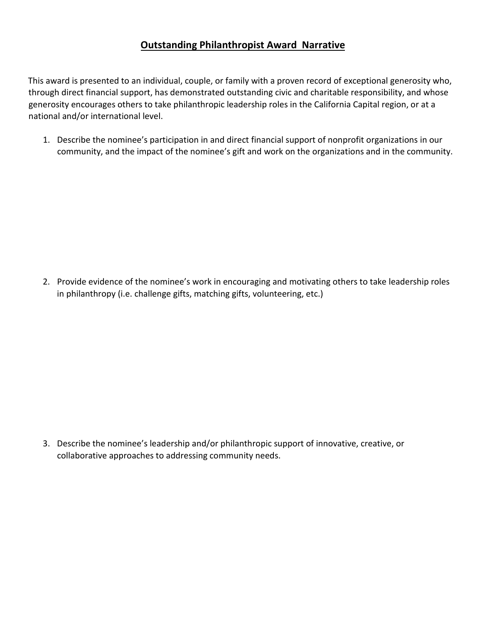### **Outstanding Philanthropist Award Narrative**

This award is presented to an individual, couple, or family with a proven record of exceptional generosity who, through direct financial support, has demonstrated outstanding civic and charitable responsibility, and whose generosity encourages others to take philanthropic leadership roles in the California Capital region, or at a national and/or international level.

1. Describe the nominee's participation in and direct financial support of nonprofit organizations in our community, and the impact of the nominee's gift and work on the organizations and in the community.

2. Provide evidence of the nominee's work in encouraging and motivating others to take leadership roles in philanthropy (i.e. challenge gifts, matching gifts, volunteering, etc.)

3. Describe the nominee's leadership and/or philanthropic support of innovative, creative, or collaborative approaches to addressing community needs.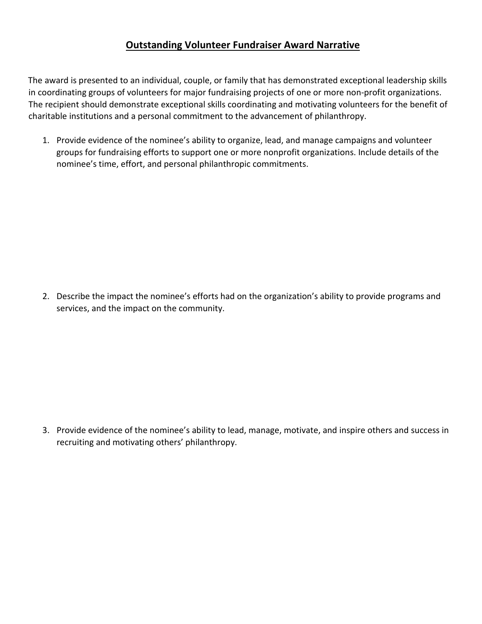### **Outstanding Volunteer Fundraiser Award Narrative**

The award is presented to an individual, couple, or family that has demonstrated exceptional leadership skills in coordinating groups of volunteers for major fundraising projects of one or more non-profit organizations. The recipient should demonstrate exceptional skills coordinating and motivating volunteers for the benefit of charitable institutions and a personal commitment to the advancement of philanthropy.

1. Provide evidence of the nominee's ability to organize, lead, and manage campaigns and volunteer groups for fundraising efforts to support one or more nonprofit organizations. Include details of the nominee's time, effort, and personal philanthropic commitments.

2. Describe the impact the nominee's efforts had on the organization's ability to provide programs and services, and the impact on the community.

3. Provide evidence of the nominee's ability to lead, manage, motivate, and inspire others and success in recruiting and motivating others' philanthropy.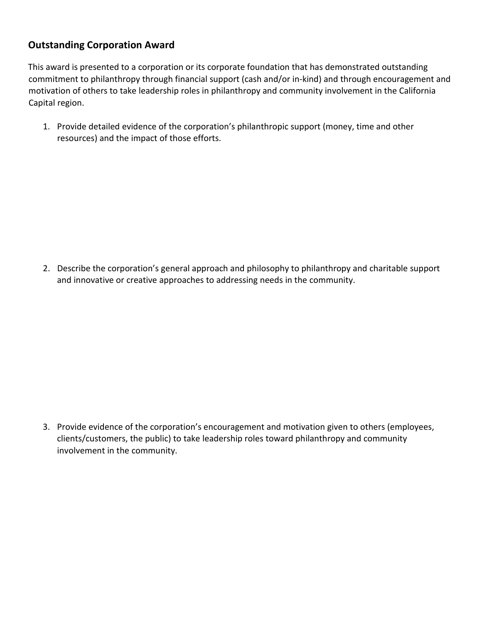### **Outstanding Corporation Award**

This award is presented to a corporation or its corporate foundation that has demonstrated outstanding commitment to philanthropy through financial support (cash and/or in-kind) and through encouragement and motivation of others to take leadership roles in philanthropy and community involvement in the California Capital region.

1. Provide detailed evidence of the corporation's philanthropic support (money, time and other resources) and the impact of those efforts.

2. Describe the corporation's general approach and philosophy to philanthropy and charitable support and innovative or creative approaches to addressing needs in the community.

3. Provide evidence of the corporation's encouragement and motivation given to others (employees, clients/customers, the public) to take leadership roles toward philanthropy and community involvement in the community.